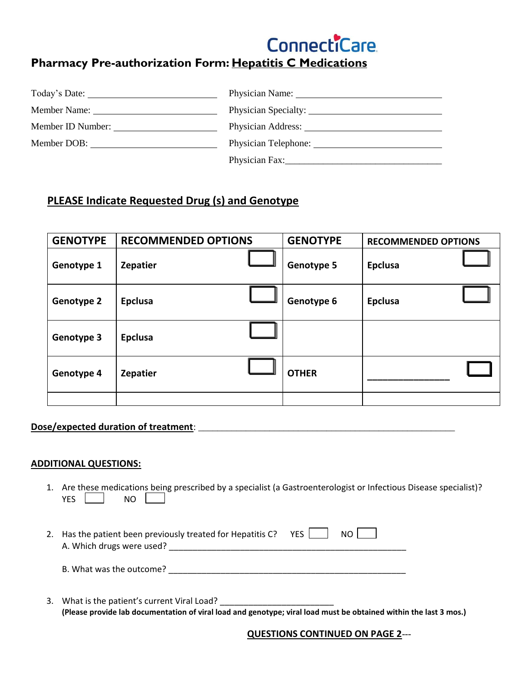

## **Pharmacy Pre-authorization Form: Hepatitis C Medications**

| Today's Date: | Physician Name: Name and Allen Control of the Control of the Control of the Control of the Control of the Control of the Control of the Control of the Control of the Control of the Control of the Control of the Control of |
|---------------|-------------------------------------------------------------------------------------------------------------------------------------------------------------------------------------------------------------------------------|
| Member Name:  | Physician Specialty:                                                                                                                                                                                                          |
|               | Physician Address:                                                                                                                                                                                                            |
| Member DOB:   | Physician Telephone:                                                                                                                                                                                                          |
|               |                                                                                                                                                                                                                               |

### **PLEASE Indicate Requested Drug (s) and Genotype**

| <b>GENOTYPE</b>   | <b>RECOMMENDED OPTIONS</b> |  | <b>GENOTYPE</b>   | <b>RECOMMENDED OPTIONS</b> |  |
|-------------------|----------------------------|--|-------------------|----------------------------|--|
| Genotype 1        | <b>Zepatier</b>            |  | <b>Genotype 5</b> | <b>Epclusa</b>             |  |
| <b>Genotype 2</b> | <b>Epclusa</b>             |  | Genotype 6        | <b>Epclusa</b>             |  |
| <b>Genotype 3</b> | <b>Epclusa</b>             |  |                   |                            |  |
| Genotype 4        | <b>Zepatier</b>            |  | <b>OTHER</b>      |                            |  |
|                   |                            |  |                   |                            |  |

### **Dose/expected duration of treatment**: \_\_\_\_\_\_\_\_\_\_\_\_\_\_\_\_\_\_\_\_\_\_\_\_\_\_\_\_\_\_\_\_\_\_\_\_\_\_\_\_\_\_\_\_\_\_\_\_\_\_\_\_\_\_

#### **ADDITIONAL QUESTIONS:**

- 1. Are these medications being prescribed by a specialist (a Gastroenterologist or Infectious Disease specialist)?  $YES$   $\parallel$  NO
- 2. Has the patient been previously treated for Hepatitis C?  $YES$   $\Box$  NO  $\Box$ A. Which drugs were used? \_\_\_\_\_\_\_\_\_\_\_\_\_\_\_\_\_\_\_\_\_\_\_\_\_\_\_\_\_\_\_\_\_\_\_\_\_\_\_\_\_\_\_\_\_\_\_\_\_\_

B. What was the outcome? \_\_\_\_\_\_\_\_\_\_\_\_\_\_\_\_\_\_\_\_\_\_\_\_\_\_\_\_\_\_\_\_\_\_\_\_\_\_\_\_\_\_\_\_\_\_\_\_\_\_

3. What is the patient's current Viral Load? **(Please provide lab documentation of viral load and genotype; viral load must be obtained within the last 3 mos.)** 

 **QUESTIONS CONTINUED ON PAGE 2**---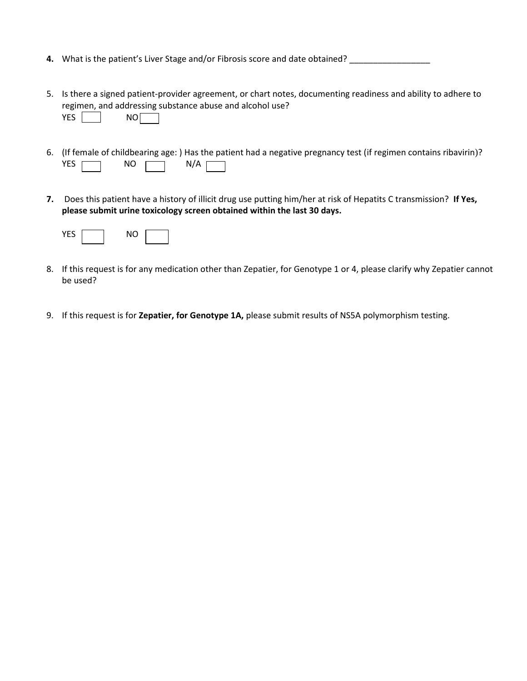- **4.** What is the patient's Liver Stage and/or Fibrosis score and date obtained? \_\_\_\_\_\_\_\_\_\_\_\_\_\_\_\_\_\_\_\_
- 5. Is there a signed patient-provider agreement, or chart notes, documenting readiness and ability to adhere to regimen, and addressing substance abuse and alcohol use? YES NO
- 6. (If female of childbearing age: ) Has the patient had a negative pregnancy test (if regimen contains ribavirin)? YES  $\Box$  NO  $\Box$  N/A
- **7.** Does this patient have a history of illicit drug use putting him/her at risk of Hepatits C transmission? **If Yes, please submit urine toxicology screen obtained within the last 30 days.**



- 8. If this request is for any medication other than Zepatier, for Genotype 1 or 4, please clarify why Zepatier cannot be used?
- 9. If this request is for **Zepatier, for Genotype 1A,** please submit results of NS5A polymorphism testing.